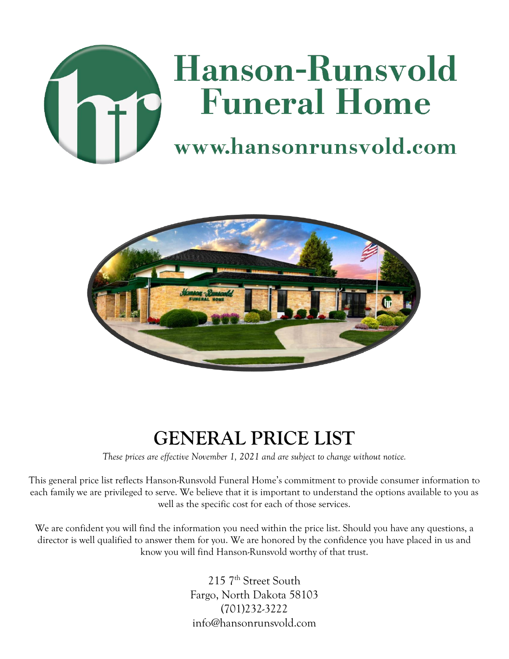



# **GENERAL PRICE LIST**

*These prices are effective November 1, 2021 and are subject to change without notice.*

This general price list reflects Hanson-Runsvold Funeral Home's commitment to provide consumer information to each family we are privileged to serve. We believe that it is important to understand the options available to you as well as the specific cost for each of those services.

We are confident you will find the information you need within the price list. Should you have any questions, a director is well qualified to answer them for you. We are honored by the confidence you have placed in us and know you will find Hanson-Runsvold worthy of that trust.

> 215 7<sup>th</sup> Street South Fargo, North Dakota 58103 (701)232-3222 info@hansonrunsvold.com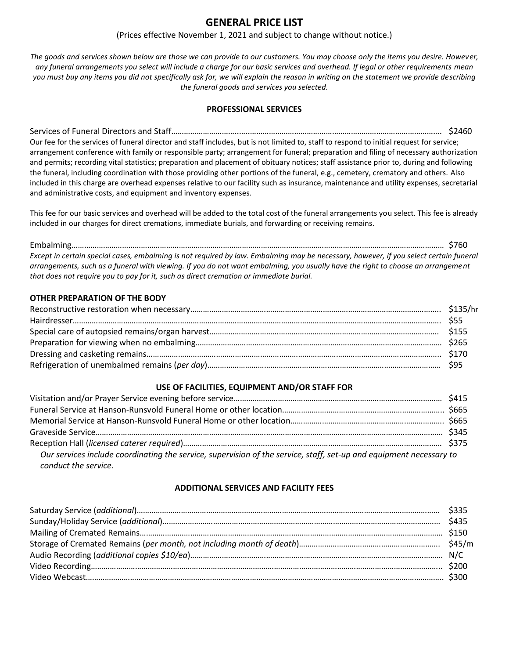## **GENERAL PRICE LIST**

## (Prices effective November 1, 2021 and subject to change without notice.)

*The goods and services shown below are those we can provide to our customers. You may choose only the items you desire. However, any funeral arrangements you select will include a charge for our basic services and overhead. If legal or other requirements mean you must buy any items you did not specifically ask for, we will explain the reason in writing on the statement we provide describing the funeral goods and services you selected.*

## **PROFESSIONAL SERVICES**

Services of Funeral Directors and Staff…………………………..…..………………………………………………………………………………. \$2460 Our fee for the services of funeral director and staff includes, but is not limited to, staff to respond to initial request for service; arrangement conference with family or responsible party; arrangement for funeral; preparation and filing of necessary authorization and permits; recording vital statistics; preparation and placement of obituary notices; staff assistance prior to, during and following the funeral, including coordination with those providing other portions of the funeral, e.g., cemetery, crematory and others. Also included in this charge are overhead expenses relative to our facility such as insurance, maintenance and utility expenses, secretarial and administrative costs, and equipment and inventory expenses.

This fee for our basic services and overhead will be added to the total cost of the funeral arrangements you select. This fee is already included in our charges for direct cremations, immediate burials, and forwarding or receiving remains.

Embalming…………………………………………………………………………………………………………………………………………………………… \$760 *Except in certain special cases, embalming is not required by law. Embalming may be necessary, however, if you select certain funeral arrangements, such as a funeral with viewing. If you do not want embalming, you usually have the right to choose an arrangement that does not require you to pay for it, such as direct cremation or immediate burial.*

## **OTHER PREPARATION OF THE BODY**

## **USE OF FACILITIES, EQUIPMENT AND/OR STAFF FOR**

| Our services include coordinating the service, supervision of the service, staff, set-up and equipment necessary to |  |
|---------------------------------------------------------------------------------------------------------------------|--|
| conduct the service.                                                                                                |  |

#### **ADDITIONAL SERVICES AND FACILITY FEES**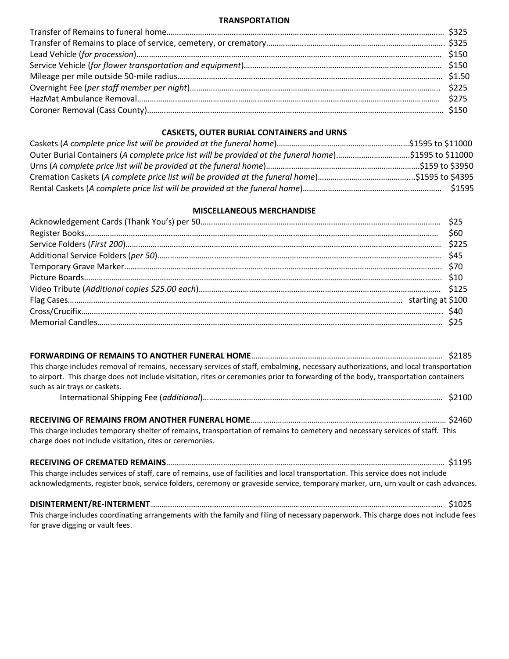#### **TRANSPORTATION**

## **CASKETS, OUTER BURIAL CONTAINERS and URNS**

| Outer Burial Containers (A complete price list will be provided at the funeral home)\$1595 to \$11000 |        |
|-------------------------------------------------------------------------------------------------------|--------|
|                                                                                                       |        |
|                                                                                                       |        |
|                                                                                                       | \$1595 |

## **MISCELLANEOUS MERCHANDISE**

| This charge includes removal of remains, necessary services of staff, embalming, necessary authorizations, and local transportation<br>to airport. This charge does not include visitation, rites or ceremonies prior to forwarding of the body, transportation containers<br>such as air trays or caskets. |  |
|-------------------------------------------------------------------------------------------------------------------------------------------------------------------------------------------------------------------------------------------------------------------------------------------------------------|--|
|                                                                                                                                                                                                                                                                                                             |  |
| This charge includes temporary shelter of remains, transportation of remains to cemetery and necessary services of staff. This<br>charge does not include visitation, rites or ceremonies.                                                                                                                  |  |
| This charge includes services of staff, care of remains, use of facilities and local transportation. This service does not include<br>acknowledgments, register book, service folders, ceremony or graveside service, temporary marker, urn, urn vault or cash advances.                                    |  |

**DISINTERMENT/RE-INTERMENT**……………………………………………………………………………………………………………………………………… \$1025 This charge includes coordinating arrangements with the family and filing of necessary paperwork. This charge does not include fees for grave digging or vault fees.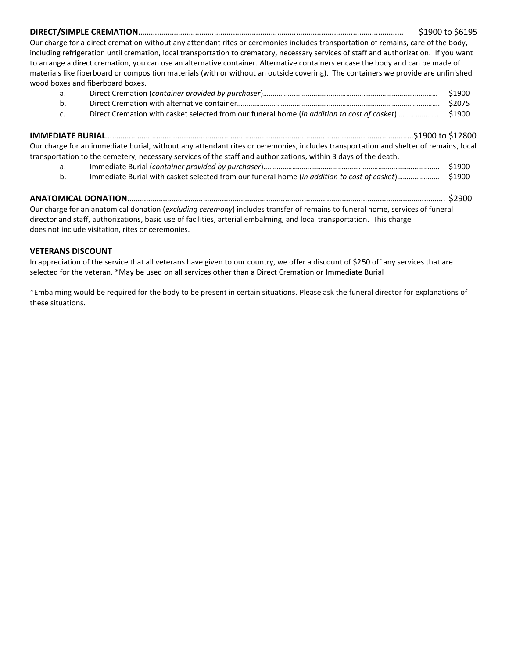**DIRECT/SIMPLE CREMATION**……………………………………………………………………………………………………………… \$1900 to \$6195 Our charge for a direct cremation without any attendant rites or ceremonies includes transportation of remains, care of the body, including refrigeration until cremation, local transportation to crematory, necessary services of staff and authorization. If you want to arrange a direct cremation, you can use an alternative container. Alternative containers encase the body and can be made of materials like fiberboard or composition materials (with or without an outside covering). The containers we provide are unfinished wood boxes and fiberboard boxes.

|    | \$1900 |
|----|--------|
| b. | \$2075 |
|    |        |

| Our charge for an immediate burial, without any attendant rites or ceremonies, includes transportation and shelter of remains, local |       |
|--------------------------------------------------------------------------------------------------------------------------------------|-------|
| transportation to the cemetery, necessary services of the staff and authorizations, within 3 days of the death.                      |       |
| International Durial Leophainer provided by purchased                                                                                | c1000 |

a. Immediate Burial (*container provided by purchaser*)……………………………………………………………………………….. \$1900 b. Immediate Burial with casket selected from our funeral home (*in addition to cost of casket*)…………………. \$1900

# **ANATOMICAL DONATION**……………………………………………………………………………………………………………………………………. \$2900 Our charge for an anatomical donation (*excluding ceremony*) includes transfer of remains to funeral home, services of funeral

director and staff, authorizations, basic use of facilities, arterial embalming, and local transportation. This charge does not include visitation, rites or ceremonies.

# **VETERANS DISCOUNT**

In appreciation of the service that all veterans have given to our country, we offer a discount of \$250 off any services that are selected for the veteran. \*May be used on all services other than a Direct Cremation or Immediate Burial

\*Embalming would be required for the body to be present in certain situations. Please ask the funeral director for explanations of these situations.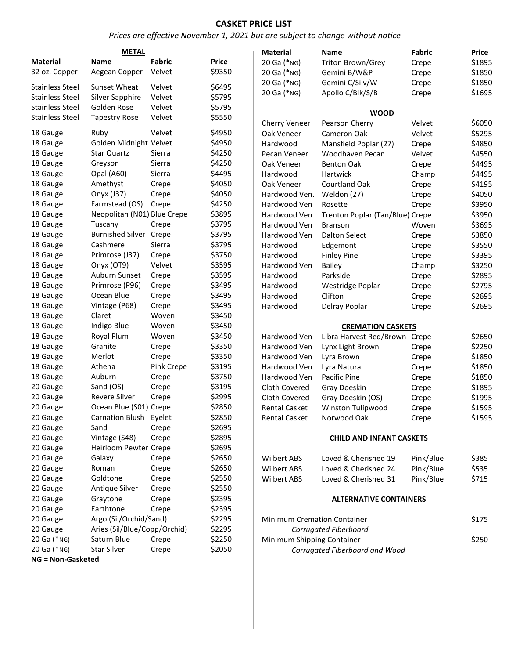## **CASKET PRICE LIST**

## *Prices are effective November 1, 2021 but are subject to change without notice*

|                          | <b>METAL</b>                 |            |              | <b>Material</b>      |  |
|--------------------------|------------------------------|------------|--------------|----------------------|--|
| <b>Material</b>          | <b>Name</b>                  | Fabric     | <b>Price</b> | 20 Ga (*NG)          |  |
| 32 oz. Copper            | Aegean Copper                | Velvet     | \$9350       | 20 Ga (*NG)          |  |
| <b>Stainless Steel</b>   | Sunset Wheat                 | Velvet     | \$6495       | 20 Ga (*NG)          |  |
| <b>Stainless Steel</b>   | Silver Sapphire              | Velvet     | \$5795       | 20 Ga (*NG)          |  |
| <b>Stainless Steel</b>   | Golden Rose                  | Velvet     | \$5795       |                      |  |
| <b>Stainless Steel</b>   | <b>Tapestry Rose</b>         | Velvet     | \$5550       |                      |  |
|                          |                              |            |              | Cherry Veneer        |  |
| 18 Gauge                 | Ruby                         | Velvet     | \$4950       | Oak Veneer           |  |
| 18 Gauge                 | Golden Midnight Velvet       |            | \$4950       | Hardwood             |  |
| 18 Gauge                 | <b>Star Quartz</b>           | Sierra     | \$4250       | Pecan Veneer         |  |
| 18 Gauge                 | Greyson                      | Sierra     | \$4250       | Oak Veneer           |  |
| 18 Gauge                 | Opal (A60)                   | Sierra     | \$4495       | Hardwood             |  |
| 18 Gauge                 | Amethyst                     | Crepe      | \$4050       | Oak Veneer           |  |
| 18 Gauge                 | Onyx (J37)                   | Crepe      | \$4050       | Hardwood Ven.        |  |
| 18 Gauge                 | Farmstead (OS)               | Crepe      | \$4250       | Hardwood Ven         |  |
| 18 Gauge                 | Neopolitan (N01) Blue Crepe  |            | \$3895       | Hardwood Ven         |  |
| 18 Gauge                 | Tuscany                      | Crepe      | \$3795       | Hardwood Ven         |  |
| 18 Gauge                 | <b>Burnished Silver</b>      | Crepe      | \$3795       | Hardwood Ven         |  |
| 18 Gauge                 | Cashmere                     | Sierra     | \$3795       | Hardwood             |  |
| 18 Gauge                 | Primrose (J37)               | Crepe      | \$3750       | Hardwood             |  |
| 18 Gauge                 | Onyx (OT9)                   | Velvet     | \$3595       | Hardwood Ven         |  |
| 18 Gauge                 | Auburn Sunset                | Crepe      | \$3595       | Hardwood             |  |
| 18 Gauge                 | Primrose (P96)               | Crepe      | \$3495       | Hardwood             |  |
| 18 Gauge                 | Ocean Blue                   | Crepe      | \$3495       | Hardwood             |  |
| 18 Gauge                 | Vintage (P68)                | Crepe      | \$3495       | Hardwood             |  |
| 18 Gauge                 | Claret                       | Woven      | \$3450       |                      |  |
| 18 Gauge                 | Indigo Blue                  | Woven      | \$3450       |                      |  |
| 18 Gauge                 | Royal Plum                   | Woven      | \$3450       | Hardwood Ven         |  |
| 18 Gauge                 | Granite                      | Crepe      | \$3350       | Hardwood Ven         |  |
| 18 Gauge                 | Merlot                       | Crepe      | \$3350       | Hardwood Ven         |  |
| 18 Gauge                 | Athena                       | Pink Crepe | \$3195       | Hardwood Ven         |  |
| 18 Gauge                 | Auburn                       | Crepe      | \$3750       | Hardwood Ven         |  |
| 20 Gauge                 | Sand (OS)                    | Crepe      | \$3195       | Cloth Covered        |  |
| 20 Gauge                 | <b>Revere Silver</b>         | Crepe      | \$2995       | Cloth Covered        |  |
| 20 Gauge                 | Ocean Blue (S01) Crepe       |            | \$2850       | <b>Rental Casket</b> |  |
| 20 Gauge                 | <b>Carnation Blush</b>       | Eyelet     | \$2850       | <b>Rental Casket</b> |  |
| 20 Gauge                 | Sand                         | Crepe      | \$2695       |                      |  |
| 20 Gauge                 | Vintage (S48)                | Crepe      | \$2895       |                      |  |
| 20 Gauge                 | Heirloom Pewter Crepe        |            | \$2695       |                      |  |
| 20 Gauge                 | Galaxy                       | Crepe      | \$2650       | <b>Wilbert ABS</b>   |  |
| 20 Gauge                 | Roman                        | Crepe      | \$2650       | <b>Wilbert ABS</b>   |  |
| 20 Gauge                 | Goldtone                     | Crepe      | \$2550       | <b>Wilbert ABS</b>   |  |
| 20 Gauge                 | Antique Silver               | Crepe      | \$2550       |                      |  |
| 20 Gauge                 | Graytone                     | Crepe      | \$2395       |                      |  |
| 20 Gauge                 | Earthtone                    | Crepe      | \$2395       |                      |  |
| 20 Gauge                 | Argo (Sil/Orchid/Sand)       |            | \$2295       | Minimum Cremat       |  |
| 20 Gauge                 | Aries (Sil/Blue/Copp/Orchid) |            | \$2295       | Corrugat             |  |
| 20 Ga (*NG)              | Saturn Blue                  | Crepe      | \$2250       | Minimum Shippin      |  |
| 20 Ga (*NG)              | <b>Star Silver</b>           | Crepe      | \$2050       | Corrugat             |  |
| <b>NG = Non-Gasketed</b> |                              |            |              |                      |  |
|                          |                              |            |              |                      |  |

| Material      | <b>Name</b>                     | Fabric | <b>Price</b> |
|---------------|---------------------------------|--------|--------------|
| 20 Ga (*NG)   | Triton Brown/Grey               | Crepe  | \$1895       |
| 20 Ga (*NG)   | Gemini B/W&P                    | Crepe  | \$1850       |
| 20 Ga (*NG)   | Gemini C/Silv/W                 | Crepe  | \$1850       |
| 20 Ga (*NG)   | Apollo C/Blk/S/B                | Crepe  | \$1695       |
|               | <b>WOOD</b>                     |        |              |
| Cherry Veneer | <b>Pearson Cherry</b>           | Velvet | \$6050       |
| Oak Veneer    | Cameron Oak                     | Velvet | \$5295       |
| Hardwood      | Mansfield Poplar (27)           | Crepe  | \$4850       |
| Pecan Veneer  | Woodhaven Pecan                 | Velvet | \$4550       |
| Oak Veneer    | <b>Benton Oak</b>               | Crepe  | \$4495       |
| Hardwood      | Hartwick                        | Champ  | \$4495       |
| Oak Veneer    | <b>Courtland Oak</b>            | Crepe  | \$4195       |
| Hardwood Ven. | Weldon (27)                     | Crepe  | \$4050       |
| Hardwood Ven  | Rosette                         | Crepe  | \$3950       |
| Hardwood Ven  | Trenton Poplar (Tan/Blue) Crepe |        | \$3950       |
| Hardwood Ven  | <b>Branson</b>                  | Woven  | \$3695       |
| Hardwood Ven  | <b>Dalton Select</b>            | Crepe  | \$3850       |
| Hardwood      | Edgemont                        | Crepe  | \$3550       |
| Hardwood      | <b>Finley Pine</b>              | Crepe  | \$3395       |
| Hardwood Ven  | Bailey                          | Champ  | \$3250       |
| Hardwood      | Parkside                        | Crepe  | \$2895       |
| Hardwood      | Westridge Poplar                | Crepe  | \$2795       |
| Hardwood      | Clifton                         | Crepe  | \$2695       |
| Hardwood      | Delray Poplar                   | Crepe  | \$2695       |
|               | <b>CREMATION CASKETS</b>        |        |              |
| Hardwood Ven  | Libra Harvest Red/Brown         | Crepe  | \$2650       |
| Hardwood Ven  | Lynx Light Brown                | Crepe  | \$2250       |
| Hardwood Ven  | Lyra Brown                      | Crepe  | \$1850       |

| Hardwood ven  | Lyra Brown        | Crepe | 21820  |
|---------------|-------------------|-------|--------|
| Hardwood Ven  | Lyra Natural      | Crepe | \$1850 |
| Hardwood Ven  | Pacific Pine      | Crepe | \$1850 |
| Cloth Covered | Gray Doeskin      | Crepe | \$1895 |
| Cloth Covered | Gray Doeskin (OS) | Crepe | \$1995 |
| Rental Casket | Winston Tulipwood | Crepe | \$1595 |
| Rental Casket | Norwood Oak       | Crepe | \$1595 |
|               |                   |       |        |

#### **CHILD AND INFANT CASKETS**

| Wilbert ABS | Loved & Cherished 19 | Pink/Blue | \$385 |
|-------------|----------------------|-----------|-------|
| Wilbert ABS | Loved & Cherished 24 | Pink/Blue | \$535 |
| Wilbert ABS | Loved & Cherished 31 | Pink/Blue | \$715 |

#### **ALTERNATIVE CONTAINERS**

| <b>Minimum Cremation Container</b> | \$175 |
|------------------------------------|-------|
| Corrugated Fiberboard              |       |
| Minimum Shipping Container         | \$250 |
| Corrugated Fiberboard and Wood     |       |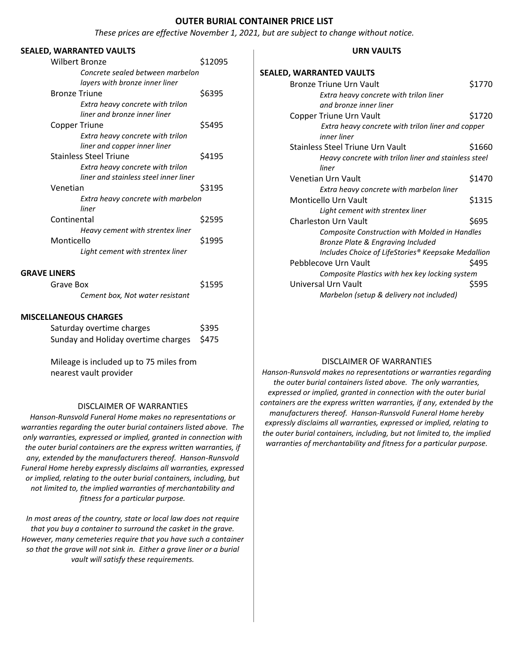#### **OUTER BURIAL CONTAINER PRICE LIST**

*These prices are effective November 1, 2021, but are subject to change without notice.*

#### **SEALED, WARRANTED VAULTS**

| <b>Wilbert Bronze</b>                 | \$12095 |
|---------------------------------------|---------|
| Concrete sealed between marbelon      |         |
| layers with bronze inner liner        |         |
| <b>Bronze Triune</b>                  | \$6395  |
| Extra heavy concrete with trilon      |         |
| liner and bronze inner liner          |         |
| <b>Copper Triune</b>                  | \$5495  |
| Extra heavy concrete with trilon      |         |
| liner and copper inner liner          |         |
| <b>Stainless Steel Triune</b>         | \$4195  |
| Extra heavy concrete with trilon      |         |
| liner and stainless steel inner liner |         |
| Venetian                              | \$3195  |
| Extra heavy concrete with marbelon    |         |
| liner                                 |         |
| Continental                           | \$2595  |
| Heavy cement with strentex liner      |         |
| Monticello                            | \$1995  |
| Light cement with strentex liner      |         |
| <b>GRAVE LINERS</b>                   |         |
| Grave Box                             | \$1595  |
| Cement box, Not water resistant       |         |
|                                       |         |
| MICCEI I ANEOLIC CHADCEC              |         |

#### **MISCELLANEOUS CHARGES**

| Saturday overtime charges                 | \$395 |
|-------------------------------------------|-------|
| Sunday and Holiday overtime charges \$475 |       |

Mileage is included up to 75 miles from nearest vault provider

#### DISCLAIMER OF WARRANTIES

*Hanson-Runsvold Funeral Home makes no representations or warranties regarding the outer burial containers listed above. The only warranties, expressed or implied, granted in connection with the outer burial containers are the express written warranties, if any, extended by the manufacturers thereof. Hanson-Runsvold Funeral Home hereby expressly disclaims all warranties, expressed or implied, relating to the outer burial containers, including, but not limited to, the implied warranties of merchantability and fitness for a particular purpose.*

*In most areas of the country, state or local law does not require that you buy a container to surround the casket in the grave. However, many cemeteries require that you have such a container so that the grave will not sink in. Either a grave liner or a burial vault will satisfy these requirements.*

#### **URN VAULTS**

### **SEALED, WARRANTED VAULTS**

| Bronze Triune Urn Vault                                          | \$1770 |
|------------------------------------------------------------------|--------|
| Extra heavy concrete with trilon liner                           |        |
| and bronze inner liner                                           |        |
| Copper Triune Urn Vault                                          | \$1720 |
| Extra heavy concrete with trilon liner and copper<br>inner liner |        |
| Stainless Steel Triune Urn Vault                                 | \$1660 |
| Heavy concrete with trilon liner and stainless steel             |        |
| liner                                                            |        |
| Venetian Urn Vault                                               | \$1470 |
| Extra heavy concrete with marbelon liner                         |        |
| Monticello Urn Vault                                             | \$1315 |
| Light cement with strentex liner                                 |        |
| Charleston Urn Vault                                             | \$695  |
| Composite Construction with Molded in Handles                    |        |
| Bronze Plate & Engraving Included                                |        |
| Includes Choice of LifeStories® Keepsake Medallion               |        |
| Pebblecove Urn Vault                                             | \$495  |
| Composite Plastics with hex key locking system                   |        |
| Universal Urn Vault                                              | \$595  |
| Marbelon (setup & delivery not included)                         |        |

## DISCLAIMER OF WARRANTIES

*Hanson-Runsvold makes no representations or warranties regarding the outer burial containers listed above. The only warranties, expressed or implied, granted in connection with the outer burial containers are the express written warranties, if any, extended by the manufacturers thereof. Hanson-Runsvold Funeral Home hereby expressly disclaims all warranties, expressed or implied, relating to the outer burial containers, including, but not limited to, the implied warranties of merchantability and fitness for a particular purpose.*